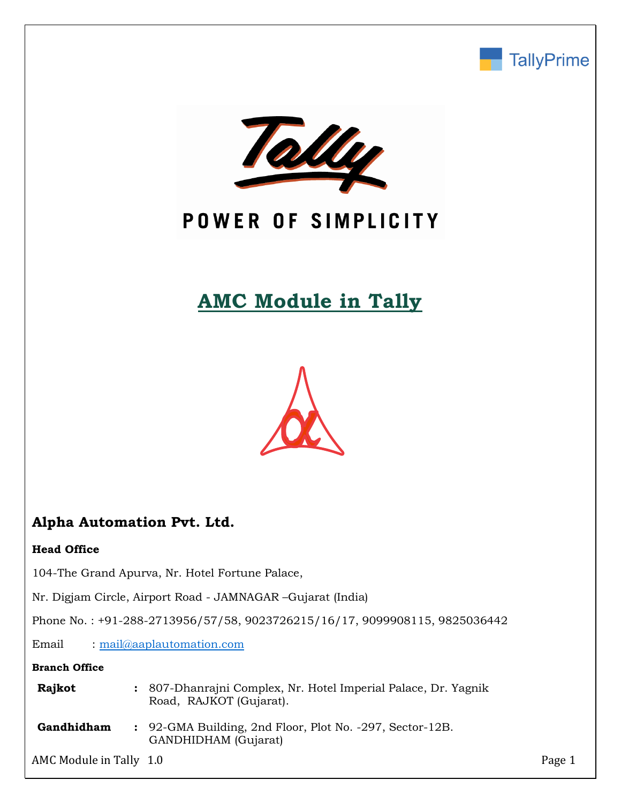



# POWER OF SIMPLICITY

# **AMC Module in Tally**



# **Alpha Automation Pvt. Ltd.**

### **Head Office**

104-The Grand Apurva, Nr. Hotel Fortune Palace,

Nr. Digjam Circle, Airport Road - JAMNAGAR –Gujarat (India)

Phone No. : +91-288-2713956/57/58, 9023726215/16/17, 9099908115, 9825036442

Email : [mail@aaplautomation.com](mailto:mail@aaplautomation.com)

### **Branch Office**

| Rajkot | : 807-Dhanrajni Complex, Nr. Hotel Imperial Palace, Dr. Yagnik |
|--------|----------------------------------------------------------------|
|        | Road, RAJKOT (Gujarat).                                        |

**Gandhidham :** 92-GMA Building, 2nd Floor, Plot No. -297, Sector-12B. GANDHIDHAM (Gujarat)

AMC Module in Tally 1.0 Page 1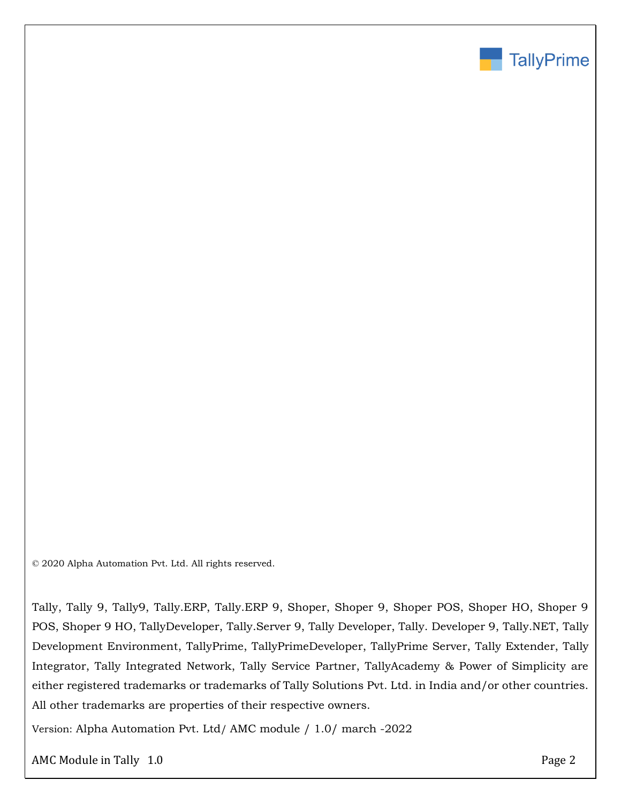

© 2020 Alpha Automation Pvt. Ltd. All rights reserved.

Tally, Tally 9, Tally9, Tally.ERP, Tally.ERP 9, Shoper, Shoper 9, Shoper POS, Shoper HO, Shoper 9 POS, Shoper 9 HO, TallyDeveloper, Tally.Server 9, Tally Developer, Tally. Developer 9, Tally.NET, Tally Development Environment, TallyPrime, TallyPrimeDeveloper, TallyPrime Server, Tally Extender, Tally Integrator, Tally Integrated Network, Tally Service Partner, TallyAcademy & Power of Simplicity are either registered trademarks or trademarks of Tally Solutions Pvt. Ltd. in India and/or other countries. All other trademarks are properties of their respective owners.

Version: Alpha Automation Pvt. Ltd/ AMC module / 1.0/ march -2022

AMC Module in Tally 1.0 Page 2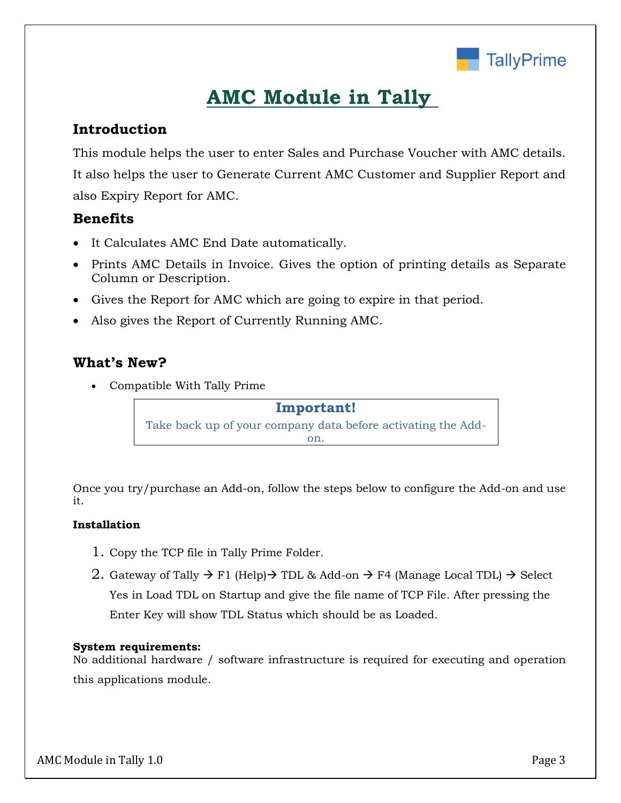

# **AMC Module in Tally**

## **Introduction**

This module helps the user to enter Sales and Purchase Voucher with AMC details. It also helps the user to Generate Current AMC Customer and Supplier Report and also Expiry Report for AMC.

## **Benefits**

- It Calculates AMC End Date automatically.
- Prints AMC Details in Invoice. Gives the option of printing details as Separate Column or Description.
- Gives the Report for AMC which are going to expire in that period.
- Also gives the Report of Currently Running AMC.

## **What's New?**

Compatible With Tally Prime

**Important!** Take back up of your company data before activating the Addon.

Once you try/purchase an Add-on, follow the steps below to configure the Add-on and use it.

### **Installation**

- 1. Copy the TCP file in Tally Prime Folder.
- 2. Gateway of Tally  $\rightarrow$  F1 (Help) $\rightarrow$  TDL & Add-on  $\rightarrow$  F4 (Manage Local TDL)  $\rightarrow$  Select Yes in Load TDL on Startup and give the file name of TCP File. After pressing the Enter Key will show TDL Status which should be as Loaded.

### **System requirements:**

No additional hardware / software infrastructure is required for executing and operation this applications module.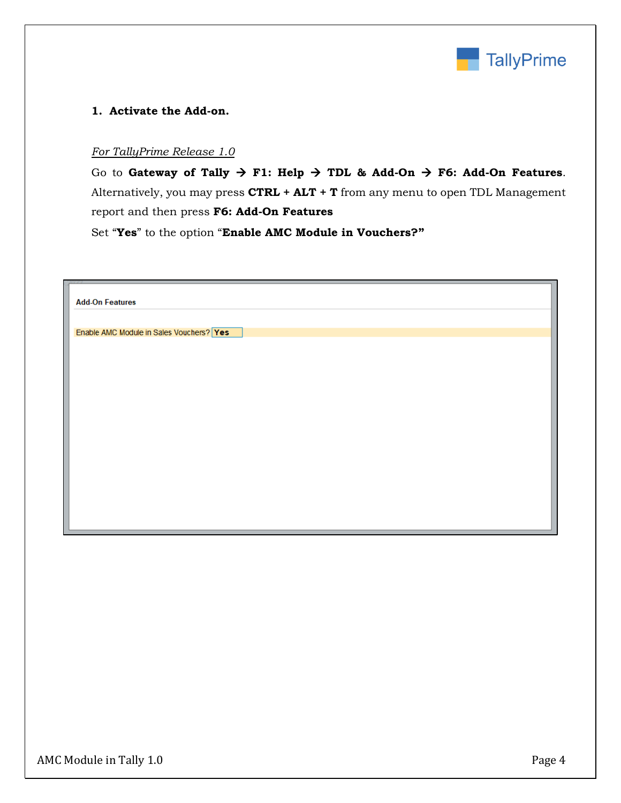

#### **1. Activate the Add-on.**

#### *For TallyPrime Release 1.0*

Go to Gateway of Tally  $\rightarrow$  F1: Help  $\rightarrow$  TDL & Add-On  $\rightarrow$  F6: Add-On Features. Alternatively, you may press **CTRL + ALT + T** from any menu to open TDL Management report and then press **F6: Add-On Features**

Set "**Yes**" to the option "**Enable AMC Module in Vouchers?"**

| Enable AMC Module in Sales Vouchers? Yes |  |  |
|------------------------------------------|--|--|
|                                          |  |  |
|                                          |  |  |
|                                          |  |  |
|                                          |  |  |
|                                          |  |  |
|                                          |  |  |
|                                          |  |  |
|                                          |  |  |
|                                          |  |  |
|                                          |  |  |
|                                          |  |  |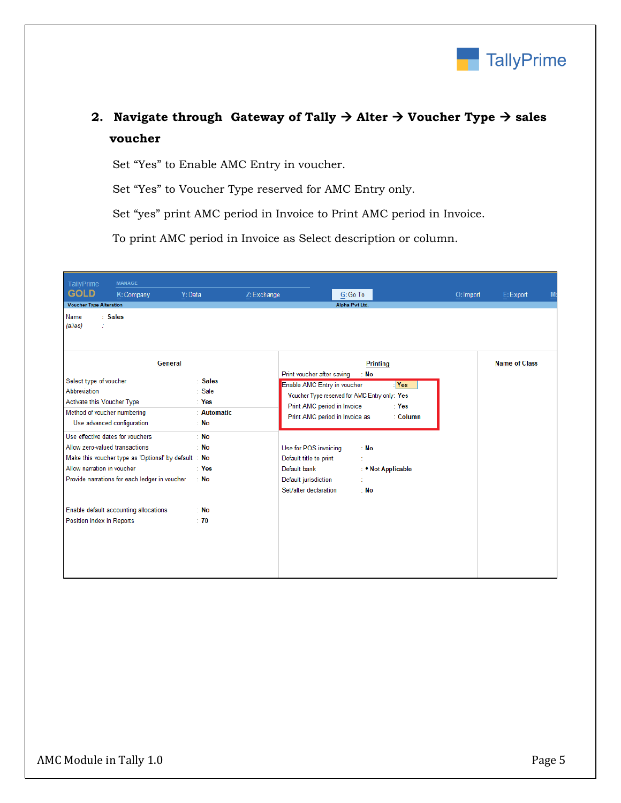

# 2. **Navigate through Gateway of Tally**  $\rightarrow$  **Alter**  $\rightarrow$  **Voucher Type**  $\rightarrow$  **sales voucher**

Set "Yes" to Enable AMC Entry in voucher.

Set "Yes" to Voucher Type reserved for AMC Entry only.

Set "yes" print AMC period in Invoice to Print AMC period in Invoice.

To print AMC period in Invoice as Select description or column.

| TallyPrime                                                                                                                        | <b>MANAGE</b>                                                                                        |                                                                  |             |                                                                                                                  |                                               |                            |                      |                                       |
|-----------------------------------------------------------------------------------------------------------------------------------|------------------------------------------------------------------------------------------------------|------------------------------------------------------------------|-------------|------------------------------------------------------------------------------------------------------------------|-----------------------------------------------|----------------------------|----------------------|---------------------------------------|
| <b>GOLD</b>                                                                                                                       | Y: Data<br>K: Company                                                                                |                                                                  | Z: Exchange |                                                                                                                  | G: Go To                                      |                            | O: Import            | E: Export<br>$\underline{\mathsf{M}}$ |
| <b>Voucher Type Alteration</b>                                                                                                    |                                                                                                      |                                                                  |             |                                                                                                                  | Alpha Pvt Ltd.                                |                            |                      |                                       |
| Name<br>(alias)                                                                                                                   | : Sales                                                                                              |                                                                  |             |                                                                                                                  |                                               |                            |                      |                                       |
|                                                                                                                                   | General                                                                                              |                                                                  |             | Print voucher after saving                                                                                       | <b>Printing</b><br>: No                       |                            | <b>Name of Class</b> |                                       |
| Select type of voucher<br>Abbreviation<br>Activate this Voucher Type<br>Method of voucher numbering<br>Use advanced configuration |                                                                                                      | : Sales<br>$\therefore$ Sale<br>$\pm$ Yes<br>: Automatic<br>: No |             | Enable AMC Entry in voucher<br>Print AMC period in Invoice<br>Print AMC period in Invoice as                     | Voucher Type reserved for AMC Entry only: Yes | : Yes<br>: Yes<br>: Column |                      |                                       |
| Use effective dates for vouchers<br>Allow zero-valued transactions<br>Allow narration in voucher                                  | Make this voucher type as 'Optional' by default: No<br>Provide narrations for each ledger in voucher | $:$ No<br>: No<br>$\pm$ Yes<br>$\therefore$ No                   |             | Use for POS invoicing<br>Default title to print<br>Default bank<br>Default jurisdiction<br>Set/alter declaration | : No<br>: No                                  | : • Not Applicable         |                      |                                       |
| Position Index in Reports                                                                                                         | Enable default accounting allocations                                                                | : No<br>$\div$ 70                                                |             |                                                                                                                  |                                               |                            |                      |                                       |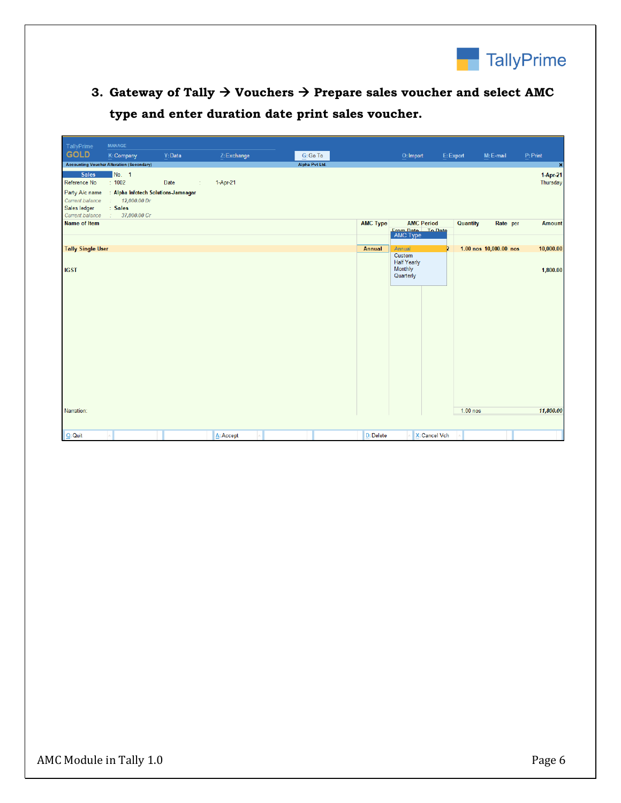

**3. Gateway of Tally Vouchers Prepare sales voucher and select AMC type and enter duration date print sales voucher.**

| TallyPrime                                                                         | <b>MANAGE</b>                                                                           |           |             |                |                 |                                                      |                 |                        |                      |
|------------------------------------------------------------------------------------|-----------------------------------------------------------------------------------------|-----------|-------------|----------------|-----------------|------------------------------------------------------|-----------------|------------------------|----------------------|
| <b>GOLD</b>                                                                        | K: Company                                                                              | Y: Data   | Z: Exchange | G: Go To       |                 | O: Import                                            | E: Export       | M: E-mail              | P: Print             |
|                                                                                    | <b>Accounting Voucher Alteration (Secondary)</b>                                        |           |             | Alpha Pvt Ltd. |                 |                                                      |                 |                        | $\pmb{\times}$       |
| <b>Sales</b><br>Reference No                                                       | No. 1<br>$\div$ 1002                                                                    | Date<br>÷ | 1-Apr-21    |                |                 |                                                      |                 |                        | 1-Apr-21<br>Thursday |
| Party A/c name<br><b>Current balance</b><br>Sales ledger<br><b>Current balance</b> | : Alpha Infotech Solutions-Jamnagar<br>12,000.00 Dr<br>diam.<br>: Sales<br>37,000.00 Cr |           |             |                |                 |                                                      |                 |                        |                      |
| <b>Name of Item</b>                                                                |                                                                                         |           |             |                | <b>AMC Type</b> | <b>AMC Period</b>                                    | <b>Quantity</b> | Rate per               | <b>Amount</b>        |
|                                                                                    |                                                                                         |           |             |                |                 | <b>Erom Date</b> To Date<br>AMC Type                 |                 |                        |                      |
| <b>Tally Single User</b>                                                           |                                                                                         |           |             |                | Annual          | Annual                                               | Þ               | 1.00 nos 10,000.00 nos | 10,000.00            |
| <b>IGST</b>                                                                        |                                                                                         |           |             |                |                 | Custom<br><b>Half Yearly</b><br>Monthly<br>Quarterly |                 |                        | 1,800.00             |
|                                                                                    |                                                                                         |           |             |                |                 |                                                      |                 |                        |                      |
| Narration:                                                                         |                                                                                         |           |             |                |                 |                                                      | 1.00 nos        |                        | 11,800.00            |
| $Q:$ Quit                                                                          |                                                                                         |           | A: Accept   |                | D: Delete       | X: Cancel Vch                                        |                 |                        |                      |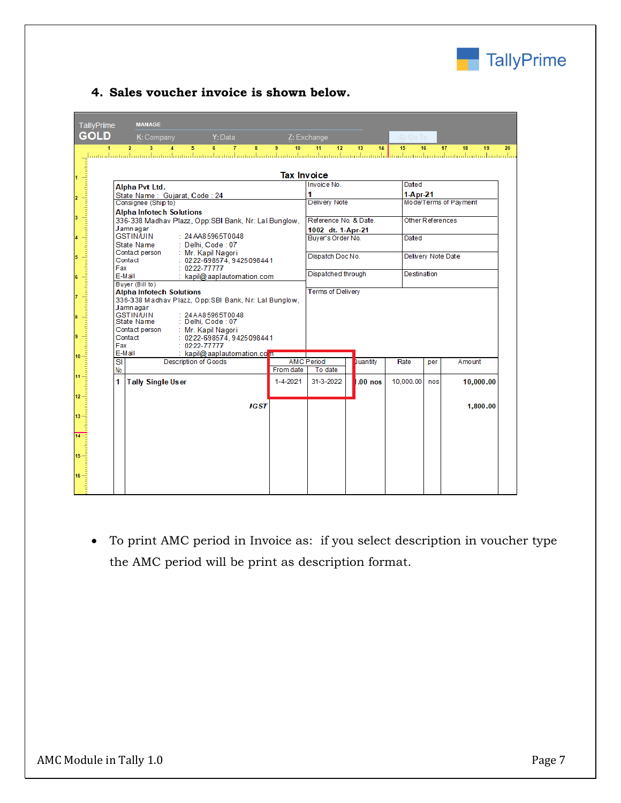

## **4. Sales voucher invoice is shown below.**

| TallyPrime                                                                     |                     | <b>MANAGE</b>                                                                           |                      |                                   |                          |                    |                          |           |                  |             |                       |    |  |
|--------------------------------------------------------------------------------|---------------------|-----------------------------------------------------------------------------------------|----------------------|-----------------------------------|--------------------------|--------------------|--------------------------|-----------|------------------|-------------|-----------------------|----|--|
| <b>GOLD</b>                                                                    |                     | K: Company                                                                              |                      | Y: Data                           |                          |                    | Z: Exchange              |           | G: Go To         |             |                       |    |  |
| 4                                                                              |                     | $\overline{2}$<br>$\overline{\mathbf{3}}$                                               | 5.<br>$\overline{A}$ | 6                                 | $\overline{7}$<br>8      | $\mathbf{Q}$<br>10 | 11<br>12 <sup>2</sup>    | 13<br>14  | 15               | 16          | 17<br>18<br>19        | 20 |  |
| dia atau dan tantan tantan tanah antara kantan dan dari antara dan dari a<br>1 |                     |                                                                                         |                      |                                   |                          | <b>Tax Invoice</b> |                          |           |                  |             |                       |    |  |
|                                                                                |                     | <b>Alpha Pvt Ltd.</b>                                                                   |                      |                                   |                          |                    | Invoice No.              |           | Dated            |             |                       |    |  |
| $\overline{\mathbf{2}}$                                                        |                     | State Name: Gujarat, Code: 24                                                           |                      |                                   |                          |                    | 1                        |           | $1-Apr-21$       |             |                       |    |  |
|                                                                                |                     | Consignee (Ship to)                                                                     |                      |                                   |                          |                    | <b>Delivery Note</b>     |           |                  |             | Mode/Terms of Payment |    |  |
| 3                                                                              |                     | <b>Alpha Infotech Solutions</b><br>336-338 Madhav Plazz, Opp:SBI Bank, Nr: Lal Bunglow, |                      |                                   |                          |                    | Reference No. & Date.    |           | Other References |             |                       |    |  |
|                                                                                |                     | Jamnagar                                                                                |                      |                                   |                          |                    | 1002 dt. 1-Apr-21        |           |                  |             |                       |    |  |
| $\overline{\mathbf{4}}$                                                        |                     | <b>GSTIN/UIN</b>                                                                        | : 24 A485965T0048    |                                   |                          |                    | Buver's Order No.        |           | Dated            |             |                       |    |  |
|                                                                                |                     | State Name                                                                              | : Delhi, Code : 07   |                                   |                          |                    |                          |           |                  |             |                       |    |  |
| 5                                                                              |                     | Contact person<br>Contact                                                               |                      | Mr. Kapil Nagori                  | 0222-698574.9425098441   |                    | Dispatch Doc No.         |           |                  |             | Delivery Note Date    |    |  |
|                                                                                | Fax                 |                                                                                         | 0222-77777           |                                   |                          |                    |                          |           |                  |             |                       |    |  |
| 6                                                                              | E-Mail              |                                                                                         |                      |                                   | kapil@aaplautomation.com |                    | Dispatched through       |           |                  | Destination |                       |    |  |
|                                                                                |                     | Buyer (Bill to)                                                                         |                      |                                   |                          |                    | <b>Terms of Delivery</b> |           |                  |             |                       |    |  |
| $\overline{7}$                                                                 |                     | <b>Alpha Infotech Solutions</b><br>336-338 Madhav Plazz, Opp:SBI Bank, Nr: Lal Bunglow, |                      |                                   |                          |                    |                          |           |                  |             |                       |    |  |
|                                                                                |                     | Jamnagar                                                                                |                      |                                   |                          |                    |                          |           |                  |             |                       |    |  |
| 8                                                                              |                     | <b>GSTIN/UIN</b><br>State Name                                                          |                      | 24AA85965T0048<br>Delhi, Code: 07 |                          |                    |                          |           |                  |             |                       |    |  |
|                                                                                |                     | Contact person                                                                          | : Mr. Kapil Nagori   |                                   |                          |                    |                          |           |                  |             |                       |    |  |
| 9                                                                              |                     | Contact                                                                                 |                      |                                   | 0222-698574.9425098441   |                    |                          |           |                  |             |                       |    |  |
|                                                                                | Fax                 |                                                                                         | 0222-77777           |                                   |                          |                    |                          |           |                  |             |                       |    |  |
| 10                                                                             | E-Mail<br><u>SI</u> |                                                                                         | Description of Goods |                                   | kapil@aaplautomation.com |                    | <b>AMC Period</b>        | Quantity  | Rate             | per         | Amount                |    |  |
|                                                                                | No.                 |                                                                                         |                      |                                   |                          | From date          | To date                  |           |                  |             |                       |    |  |
| 11                                                                             | 1                   | <b>Tally Single User</b>                                                                |                      |                                   |                          | $1 - 4 - 2021$     | 31-3-2022                | $.00$ nos | 10,000.00        | nos         | 10,000.00             |    |  |
| 12                                                                             |                     |                                                                                         |                      |                                   |                          |                    |                          |           |                  |             |                       |    |  |
|                                                                                |                     |                                                                                         |                      |                                   | IGST                     |                    |                          |           |                  |             | 1.800.00              |    |  |
| 13                                                                             |                     |                                                                                         |                      |                                   |                          |                    |                          |           |                  |             |                       |    |  |
| 14                                                                             |                     |                                                                                         |                      |                                   |                          |                    |                          |           |                  |             |                       |    |  |
|                                                                                |                     |                                                                                         |                      |                                   |                          |                    |                          |           |                  |             |                       |    |  |
| 15                                                                             |                     |                                                                                         |                      |                                   |                          |                    |                          |           |                  |             |                       |    |  |
|                                                                                |                     |                                                                                         |                      |                                   |                          |                    |                          |           |                  |             |                       |    |  |
| 16                                                                             |                     |                                                                                         |                      |                                   |                          |                    |                          |           |                  |             |                       |    |  |
|                                                                                |                     |                                                                                         |                      |                                   |                          |                    |                          |           |                  |             |                       |    |  |

 To print AMC period in Invoice as: if you select description in voucher type the AMC period will be print as description format.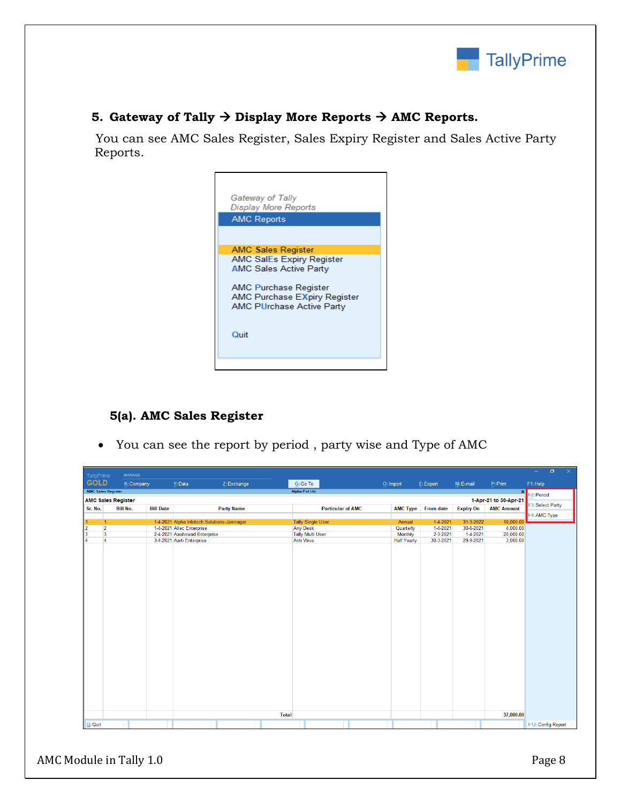

### **5. Gateway of Tally**  $\rightarrow$  **Display More Reports**  $\rightarrow$  **AMC Reports.**

 You can see AMC Sales Register, Sales Expiry Register and Sales Active Party Reports.



## **5(a). AMC Sales Register**

You can see the report by period , party wise and Type of AMC

| TallyPrime                |                         | <b>MANAGE</b>             |                  |                                            |                   |              |                          |                          |                    |            |                  |                       | $\Box$<br>$\equiv$<br>$\times$ |
|---------------------------|-------------------------|---------------------------|------------------|--------------------------------------------|-------------------|--------------|--------------------------|--------------------------|--------------------|------------|------------------|-----------------------|--------------------------------|
| <b>GOLD</b>               |                         | K: Company                |                  | Y: Data                                    | Z: Exchange       |              | G: Go To                 |                          | O: Import          | E: Export  | M: E-mail        | P: Print              | F1: Help                       |
| <b>AMC Sales Register</b> |                         |                           |                  |                                            |                   |              | Alpha Pvt Ltd.           |                          |                    |            |                  | $\vert x \vert$       | F <sub>2</sub> : Period        |
|                           |                         | <b>AMC Sales Register</b> |                  |                                            |                   |              |                          |                          |                    |            |                  | 1-Apr-21 to 30-Apr-21 |                                |
| Sr. No.                   | <b>Bill No.</b>         |                           | <b>Bill Date</b> |                                            | <b>Party Name</b> |              |                          | <b>Particular of AMC</b> | <b>AMC Type</b>    | From date  | <b>Expiry On</b> | <b>AMC Amount</b>     | F3: Select Party               |
|                           |                         |                           |                  |                                            |                   |              |                          |                          |                    |            |                  |                       | F4: AMC Type                   |
| 1                         | 1                       |                           |                  | 1-4-2021 Alpha Infotech Solutions-Jamnagar |                   |              | <b>Tally Single User</b> |                          | Annual             | $1-4-2021$ | 31-3-2022        | 10,000.00             |                                |
| $\overline{2}$            | $\overline{2}$          |                           |                  | 1-4-2021 Allec Enterprise                  |                   |              | <b>Any Desk</b>          |                          | Quarterly          | 1-4-2021   | 30-6-2021        | 4,000.00              |                                |
| 3                         | $\overline{\mathbf{3}}$ |                           |                  | 2-4-2021 Aashirwad Enterprise              |                   |              | <b>Tally Multi User</b>  |                          | Monthly            | 2-3-2021   | 1-4-2021         | 20,000.00             |                                |
| 4                         | $\overline{4}$          |                           |                  | 3-4-2021 Aarti Enterprise                  |                   |              | <b>Anti Virus</b>        |                          | <b>Half Yearly</b> | 30-3-2021  | 29-9-2021        | 3,000.00              |                                |
|                           |                         |                           |                  |                                            |                   |              |                          |                          |                    |            |                  |                       |                                |
|                           |                         |                           |                  |                                            |                   |              |                          |                          |                    |            |                  |                       |                                |
|                           |                         |                           |                  |                                            |                   |              |                          |                          |                    |            |                  |                       |                                |
|                           |                         |                           |                  |                                            |                   |              |                          |                          |                    |            |                  |                       |                                |
|                           |                         |                           |                  |                                            |                   |              |                          |                          |                    |            |                  |                       |                                |
|                           |                         |                           |                  |                                            |                   |              |                          |                          |                    |            |                  |                       |                                |
|                           |                         |                           |                  |                                            |                   |              |                          |                          |                    |            |                  |                       |                                |
|                           |                         |                           |                  |                                            |                   |              |                          |                          |                    |            |                  |                       |                                |
|                           |                         |                           |                  |                                            |                   |              |                          |                          |                    |            |                  |                       |                                |
|                           |                         |                           |                  |                                            |                   |              |                          |                          |                    |            |                  |                       |                                |
|                           |                         |                           |                  |                                            |                   |              |                          |                          |                    |            |                  |                       |                                |
|                           |                         |                           |                  |                                            |                   |              |                          |                          |                    |            |                  |                       |                                |
|                           |                         |                           |                  |                                            |                   |              |                          |                          |                    |            |                  |                       |                                |
|                           |                         |                           |                  |                                            |                   |              |                          |                          |                    |            |                  |                       |                                |
|                           |                         |                           |                  |                                            |                   |              |                          |                          |                    |            |                  |                       |                                |
|                           |                         |                           |                  |                                            |                   |              |                          |                          |                    |            |                  |                       |                                |
|                           |                         |                           |                  |                                            |                   |              |                          |                          |                    |            |                  |                       |                                |
|                           |                         |                           |                  |                                            |                   |              |                          |                          |                    |            |                  |                       |                                |
|                           |                         |                           |                  |                                            |                   |              |                          |                          |                    |            |                  |                       |                                |
|                           |                         |                           |                  |                                            |                   |              |                          |                          |                    |            |                  |                       |                                |
|                           |                         |                           |                  |                                            |                   |              |                          |                          |                    |            |                  |                       |                                |
|                           |                         |                           |                  |                                            |                   |              |                          |                          |                    |            |                  |                       |                                |
|                           |                         |                           |                  |                                            |                   |              |                          |                          |                    |            |                  |                       |                                |
|                           |                         |                           |                  |                                            |                   |              |                          |                          |                    |            |                  |                       |                                |
|                           |                         |                           |                  |                                            |                   |              |                          |                          |                    |            |                  |                       |                                |
|                           |                         |                           |                  |                                            |                   | <b>Total</b> |                          |                          |                    |            |                  | 37,000.00             |                                |
|                           |                         |                           |                  |                                            |                   |              |                          |                          |                    |            |                  |                       |                                |
| $\mathbf{Q}$ : Quit       |                         |                           |                  |                                            |                   |              |                          |                          |                    |            |                  |                       | F12: Config Report             |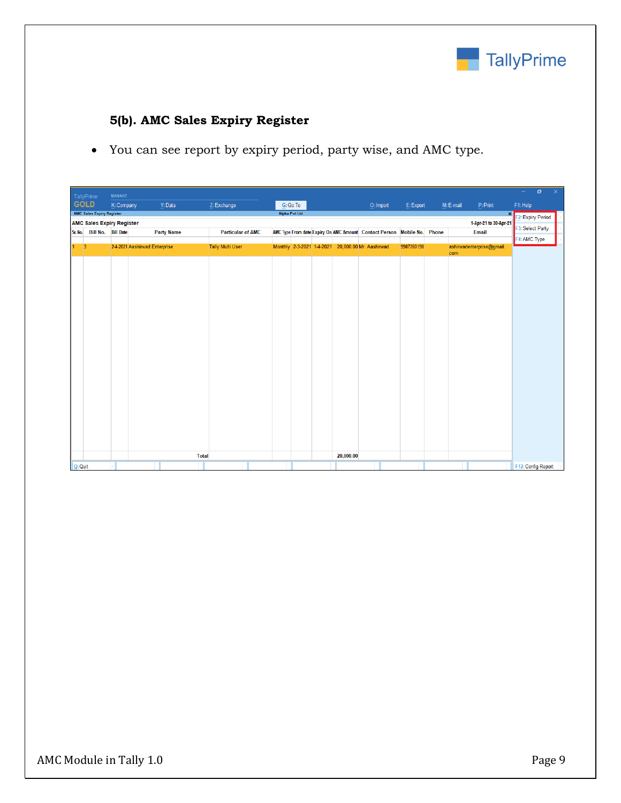

## **5(b). AMC Sales Expiry Register**

You can see report by expiry period, party wise, and AMC type.

|           | TallyPrime                       | <b>MANAGE</b>                    |                   |                          |                |           |                                                                         |            |           |                                | $\sim$ .           | $\sigma$<br>$\times$ |
|-----------|----------------------------------|----------------------------------|-------------------|--------------------------|----------------|-----------|-------------------------------------------------------------------------|------------|-----------|--------------------------------|--------------------|----------------------|
|           | <b>GOLD</b>                      | K: Company                       | Y: Data           | Z: Exchange              | G: Go To       |           | O: Import                                                               | E: Export  | M: E-mail | P: Print                       | F1: Help           |                      |
|           | <b>AMC Sales Expiry Register</b> |                                  |                   |                          | Alpha Pvt Ltd. |           |                                                                         |            |           | $\mathbf{x}$                   | F2: Expiry Period  |                      |
|           | Sr. No. Bill No. Bill Date       | <b>AMC Sales Expiry Register</b> | <b>Party Name</b> | <b>Particular of AMC</b> |                |           | AMC Type From date Expiry On AMC Amount Contact Person Mobile No. Phone |            |           | 1-Apr-21 to 30-Apr-21<br>Email | F3: Select Party   |                      |
|           |                                  |                                  |                   |                          |                |           |                                                                         |            |           |                                | F4: AMC Type       |                      |
|           | 3                                | 2-4-2021 Aashirwad Enterprise    |                   | <b>Tally Multi User</b>  |                |           | Monthly 2-3-2021 1-4-2021 20,000.00 Mr. Aashirwad                       | 9987260198 | com       | ashirwadenterprise@gmail.      |                    |                      |
|           |                                  |                                  |                   |                          |                |           |                                                                         |            |           |                                |                    |                      |
|           |                                  |                                  |                   |                          |                |           |                                                                         |            |           |                                |                    |                      |
|           |                                  |                                  |                   |                          |                |           |                                                                         |            |           |                                |                    |                      |
|           |                                  |                                  |                   |                          |                |           |                                                                         |            |           |                                |                    |                      |
|           |                                  |                                  |                   |                          |                |           |                                                                         |            |           |                                |                    |                      |
|           |                                  |                                  |                   |                          |                |           |                                                                         |            |           |                                |                    |                      |
|           |                                  |                                  |                   |                          |                |           |                                                                         |            |           |                                |                    |                      |
|           |                                  |                                  |                   |                          |                |           |                                                                         |            |           |                                |                    |                      |
|           |                                  |                                  |                   |                          |                |           |                                                                         |            |           |                                |                    |                      |
|           |                                  |                                  |                   |                          |                |           |                                                                         |            |           |                                |                    |                      |
|           |                                  |                                  |                   |                          |                |           |                                                                         |            |           |                                |                    |                      |
|           |                                  |                                  |                   |                          |                |           |                                                                         |            |           |                                |                    |                      |
|           |                                  |                                  |                   |                          |                |           |                                                                         |            |           |                                |                    |                      |
|           |                                  |                                  |                   |                          |                |           |                                                                         |            |           |                                |                    |                      |
|           |                                  |                                  |                   |                          |                |           |                                                                         |            |           |                                |                    |                      |
|           |                                  |                                  |                   |                          |                |           |                                                                         |            |           |                                |                    |                      |
|           |                                  |                                  |                   |                          |                |           |                                                                         |            |           |                                |                    |                      |
|           |                                  |                                  |                   |                          |                |           |                                                                         |            |           |                                |                    |                      |
|           |                                  |                                  |                   |                          |                |           |                                                                         |            |           |                                |                    |                      |
|           |                                  |                                  | Total             |                          |                | 20,000.00 |                                                                         |            |           |                                |                    |                      |
| $Q:$ Quit |                                  |                                  |                   |                          |                |           |                                                                         |            |           |                                | F12: Config Report |                      |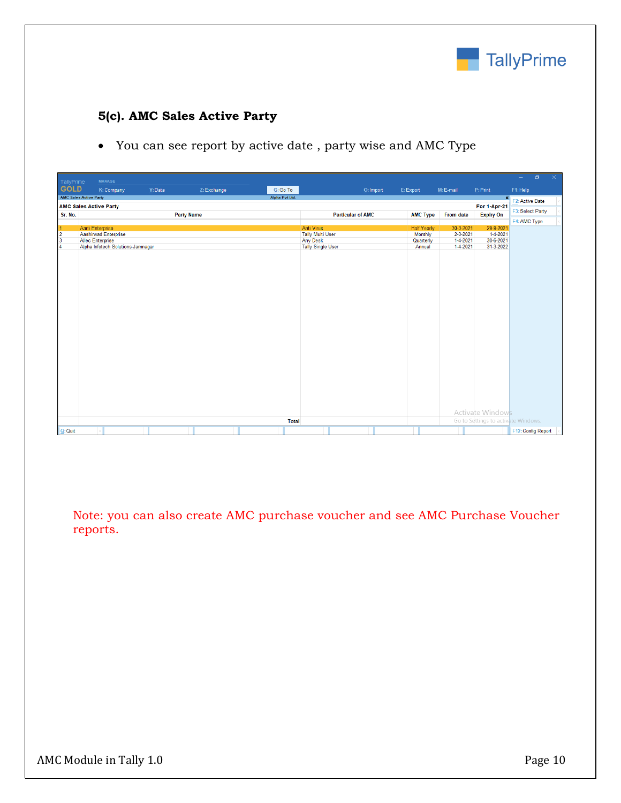

## **5(c). AMC Sales Active Party**

You can see report by active date , party wise and AMC Type

| <b>GOLD</b><br>Y: Data<br>$G:Go$ To<br>K: Company<br>Z: Exchange<br>E: Export<br>M: E-mail<br>F1: Help<br>O: Import<br>P:Print<br><b>AMC Sales Active Party</b><br>Alpha Pvt Ltd.<br>$\mathbf{x}$<br>F2: Active Date<br><b>AMC Sales Active Party</b><br><b>For 1-Apr-21</b><br>F3: Select Party<br><b>Party Name</b><br><b>AMC Type</b><br>Sr. No.<br><b>Particular of AMC</b><br><b>From date</b><br><b>Expiry On</b><br>29-9-2021<br>Aarti Enterprise<br><b>Anti Virus</b><br>30-3-2021<br><b>Half Yearly</b><br><b>Aashirwad Enterprise</b><br><b>Tally Multi User</b><br>2-3-2021<br>$\overline{2}$<br><b>Monthly</b><br>1-4-2021<br>$\overline{\mathbf{3}}$<br>1-4-2021<br>30-6-2021<br><b>Allec Enterprise</b><br><b>Any Desk</b><br>Quarterly<br>Alpha Infotech Solutions-Jamnagar<br>1-4-2021<br><b>Tally Single User</b><br>Annual<br>31-3-2022<br>$\overline{4}$ | TallyPrime | <b>MANAGE</b> |  |  |  |  | $\Box$<br>$\equiv$ | $\propto$ |
|-----------------------------------------------------------------------------------------------------------------------------------------------------------------------------------------------------------------------------------------------------------------------------------------------------------------------------------------------------------------------------------------------------------------------------------------------------------------------------------------------------------------------------------------------------------------------------------------------------------------------------------------------------------------------------------------------------------------------------------------------------------------------------------------------------------------------------------------------------------------------------|------------|---------------|--|--|--|--|--------------------|-----------|
|                                                                                                                                                                                                                                                                                                                                                                                                                                                                                                                                                                                                                                                                                                                                                                                                                                                                             |            |               |  |  |  |  |                    |           |
|                                                                                                                                                                                                                                                                                                                                                                                                                                                                                                                                                                                                                                                                                                                                                                                                                                                                             |            |               |  |  |  |  |                    |           |
|                                                                                                                                                                                                                                                                                                                                                                                                                                                                                                                                                                                                                                                                                                                                                                                                                                                                             |            |               |  |  |  |  |                    |           |
|                                                                                                                                                                                                                                                                                                                                                                                                                                                                                                                                                                                                                                                                                                                                                                                                                                                                             |            |               |  |  |  |  |                    |           |
|                                                                                                                                                                                                                                                                                                                                                                                                                                                                                                                                                                                                                                                                                                                                                                                                                                                                             |            |               |  |  |  |  | F4: AMC Type       |           |
|                                                                                                                                                                                                                                                                                                                                                                                                                                                                                                                                                                                                                                                                                                                                                                                                                                                                             |            |               |  |  |  |  |                    |           |
|                                                                                                                                                                                                                                                                                                                                                                                                                                                                                                                                                                                                                                                                                                                                                                                                                                                                             |            |               |  |  |  |  |                    |           |
|                                                                                                                                                                                                                                                                                                                                                                                                                                                                                                                                                                                                                                                                                                                                                                                                                                                                             |            |               |  |  |  |  |                    |           |
|                                                                                                                                                                                                                                                                                                                                                                                                                                                                                                                                                                                                                                                                                                                                                                                                                                                                             |            |               |  |  |  |  |                    |           |
| Activate Windows<br>Go to Settings to activate Windows.<br><b>Total</b>                                                                                                                                                                                                                                                                                                                                                                                                                                                                                                                                                                                                                                                                                                                                                                                                     |            |               |  |  |  |  |                    |           |
| $Q:$ Quit                                                                                                                                                                                                                                                                                                                                                                                                                                                                                                                                                                                                                                                                                                                                                                                                                                                                   |            |               |  |  |  |  | F12: Config Report |           |

Note: you can also create AMC purchase voucher and see AMC Purchase Voucher reports.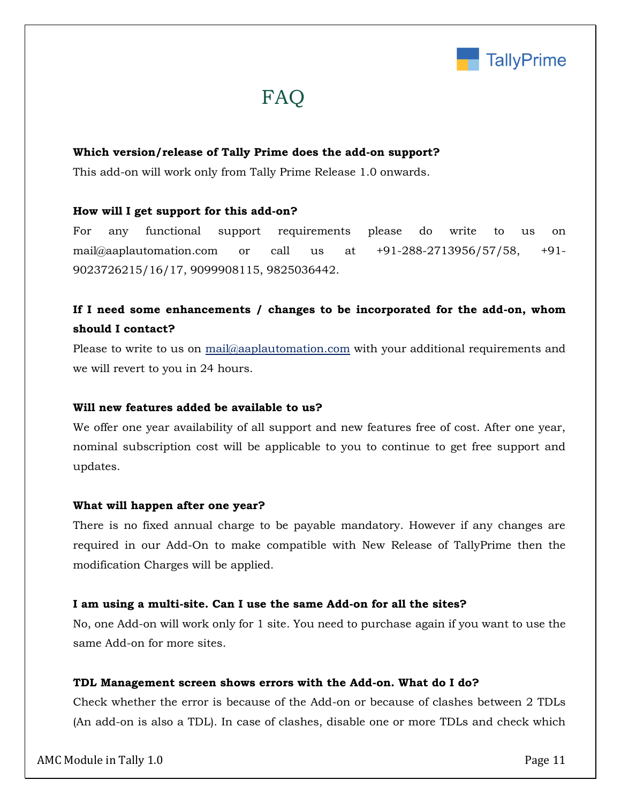

# FAQ

#### **Which version/release of Tally Prime does the add-on support?**

This add-on will work only from Tally Prime Release 1.0 onwards.

#### **How will I get support for this add-on?**

For any functional support requirements please do write to us on mail@aaplautomation.com or call us at +91-288-2713956/57/58, +91- 9023726215/16/17, 9099908115, 9825036442.

## **If I need some enhancements / changes to be incorporated for the add-on, whom should I contact?**

Please to write to us on mail@aaplautomation.com with your additional requirements and we will revert to you in 24 hours.

#### **Will new features added be available to us?**

We offer one year availability of all support and new features free of cost. After one year, nominal subscription cost will be applicable to you to continue to get free support and updates.

#### **What will happen after one year?**

There is no fixed annual charge to be payable mandatory. However if any changes are required in our Add-On to make compatible with New Release of TallyPrime then the modification Charges will be applied.

#### **I am using a multi-site. Can I use the same Add-on for all the sites?**

No, one Add-on will work only for 1 site. You need to purchase again if you want to use the same Add-on for more sites.

#### **TDL Management screen shows errors with the Add-on. What do I do?**

Check whether the error is because of the Add-on or because of clashes between 2 TDLs (An add-on is also a TDL). In case of clashes, disable one or more TDLs and check which